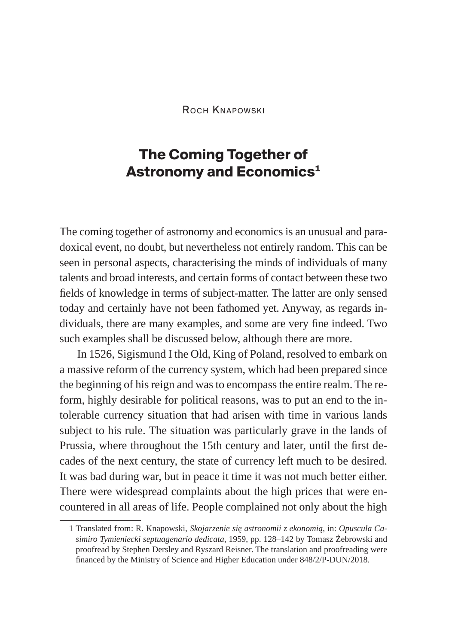Roch Knapowski

## **The Coming Together of Astronomy and Economics1**

The coming together of astronomy and economics is an unusual and paradoxical event, no doubt, but nevertheless not entirely random. This can be seen in personal aspects, characterising the minds of individuals of many talents and broad interests, and certain forms of contact between these two fields of knowledge in terms of subject-matter. The latter are only sensed today and certainly have not been fathomed yet. Anyway, as regards individuals, there are many examples, and some are very fine indeed. Two such examples shall be discussed below, although there are more.

In 1526, Sigismund I the Old, King of Poland, resolved to embark on a massive reform of the currency system, which had been prepared since the beginning of his reign and was to encompass the entire realm. The reform, highly desirable for political reasons, was to put an end to the intolerable currency situation that had arisen with time in various lands subject to his rule. The situation was particularly grave in the lands of Prussia, where throughout the 15th century and later, until the first decades of the next century, the state of currency left much to be desired. It was bad during war, but in peace it time it was not much better either. There were widespread complaints about the high prices that were encountered in all areas of life. People complained not only about the high

<sup>1</sup> Translated from: R. Knapowski, *Skojarzenie się astronomii z ekonomią*, in: *Opuscula Casimiro Tymieniecki septuagenario dedicata*, 1959, pp. 128–142 by Tomasz Żebrowski and proofread by Stephen Dersley and Ryszard Reisner. The translation and proofreading were financed by the Ministry of Science and Higher Education under 848/2/P-DUN/2018.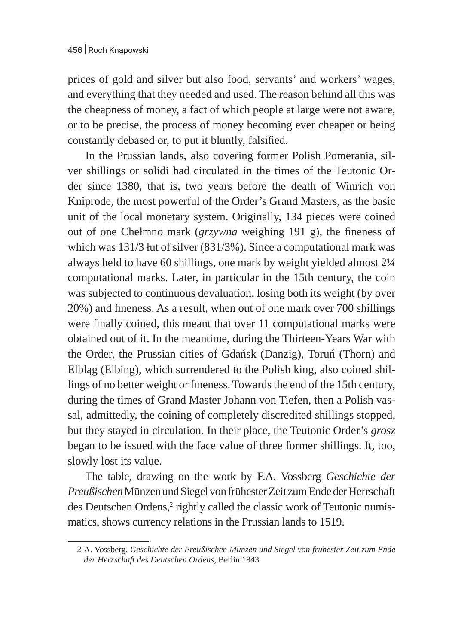prices of gold and silver but also food, servants' and workers' wages, and everything that they needed and used. The reason behind all this was the cheapness of money, a fact of which people at large were not aware, or to be precise, the process of money becoming ever cheaper or being constantly debased or, to put it bluntly, falsified.

In the Prussian lands, also covering former Polish Pomerania, silver shillings or solidi had circulated in the times of the Teutonic Order since 1380, that is, two years before the death of Winrich von Kniprode, the most powerful of the Order's Grand Masters, as the basic unit of the local monetary system. Originally, 134 pieces were coined out of one Chełmno mark (*grzywna* weighing 191 g), the fineness of which was 131/3 łut of silver (831/3%). Since a computational mark was always held to have 60 shillings, one mark by weight yielded almost 2¼ computational marks. Later, in particular in the 15th century, the coin was subjected to continuous devaluation, losing both its weight (by over 20%) and fineness. As a result, when out of one mark over 700 shillings were finally coined, this meant that over 11 computational marks were obtained out of it. In the meantime, during the Thirteen-Years War with the Order, the Prussian cities of Gdańsk (Danzig), Toruń (Thorn) and Elbląg (Elbing), which surrendered to the Polish king, also coined shillings of no better weight or fineness. Towards the end of the 15th century, during the times of Grand Master Johann von Tiefen, then a Polish vassal, admittedly, the coining of completely discredited shillings stopped, but they stayed in circulation. In their place, the Teutonic Order's *grosz* began to be issued with the face value of three former shillings. It, too, slowly lost its value.

The table, drawing on the work by F.A. Vossberg *Geschichte der Preußischen* Münzen und Siegel von frühester Zeit zum Ende derHerrschaft des Deutschen Ordens,<sup>2</sup> rightly called the classic work of Teutonic numismatics, shows currency relations in the Prussian lands to 1519.

<sup>2</sup> A. Vossberg, *Geschichte der Preußischen Münzen und Siegel von frühester Zeit zum Ende der Herrschaft des Deutschen Ordens*, Berlin 1843.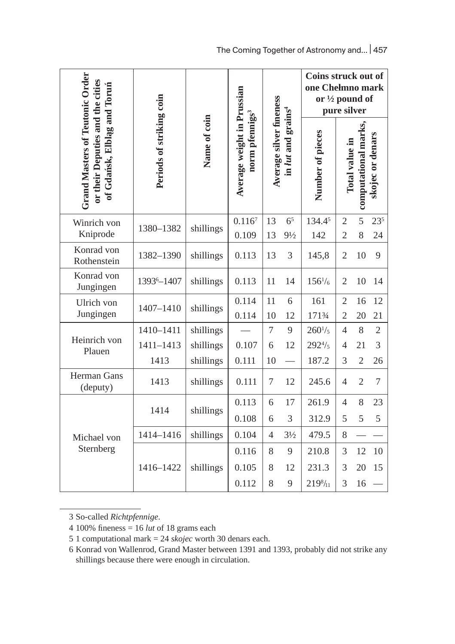|                                                                                                           |                          |              |                                                          | Average silver fineness<br>in lut and grains <sup>4</sup> |                                  | Coins struck out of<br>one Chełmno mark<br>or $\frac{1}{2}$ pound of<br>pure silver |                                                                   |                |                |
|-----------------------------------------------------------------------------------------------------------|--------------------------|--------------|----------------------------------------------------------|-----------------------------------------------------------|----------------------------------|-------------------------------------------------------------------------------------|-------------------------------------------------------------------|----------------|----------------|
| <b>Grand Masters of Teutonic Order</b><br>or their Deputies and the cities<br>of Gdańsk, Elbląg and Toruń | Periods of striking coin | Name of coin | Average weight in Prussian<br>norm pfennigs <sup>3</sup> |                                                           |                                  | Number of pieces                                                                    | computational marks,<br>skojec or denars<br><b>Total value in</b> |                |                |
| Winrich von<br>Kniprode                                                                                   | 1380-1382                | shillings    | 0.116 <sup>7</sup><br>0.109                              | 13<br>13                                                  | 6 <sup>5</sup><br>$9\frac{1}{2}$ | 134.45<br>142                                                                       | $\overline{2}$<br>$\overline{2}$                                  | 5<br>8         | 235<br>24      |
| Konrad von<br>Rothenstein                                                                                 | 1382-1390                | shillings    | 0.113                                                    | 13                                                        | 3                                | 145,8                                                                               | $\overline{2}$                                                    | 10             | 9              |
| Konrad von<br>Jungingen                                                                                   | 1393 <sup>6</sup> -1407  | shillings    | 0.113                                                    | 11                                                        | 14                               | $156^{1/6}$                                                                         | $\overline{2}$                                                    | 10             | 14             |
| Ulrich von<br>Jungingen                                                                                   | 1407-1410                | shillings    | 0.114<br>0.114                                           | 11<br>10                                                  | 6<br>12                          | 161<br>171%                                                                         | $\overline{2}$<br>$\overline{2}$                                  | 16<br>20       | 12<br>21       |
|                                                                                                           | 1410-1411                | shillings    |                                                          | 7                                                         | 9                                | $260^{1/5}$                                                                         | $\overline{4}$                                                    | 8              | $\overline{2}$ |
| Heinrich von<br>Plauen                                                                                    | 1411-1413                | shillings    | 0.107                                                    | 6                                                         | 12                               | $292^{4}/_5$                                                                        | $\overline{4}$                                                    | 21             | 3              |
|                                                                                                           | 1413                     | shillings    | 0.111                                                    | 10                                                        |                                  | 187.2                                                                               | 3                                                                 | $\overline{2}$ | 26             |
| Herman Gans<br>(deputy)                                                                                   | 1413                     | shillings    | 0.111                                                    | 7                                                         | 12                               | 245.6                                                                               | 4                                                                 | $\overline{2}$ | 7              |
| Michael von<br>Sternberg                                                                                  |                          | shillings    | 0.113                                                    | 6                                                         | 17                               | 261.9                                                                               | $\overline{4}$                                                    | 8              | 23             |
|                                                                                                           | 1414                     |              | 0.108                                                    | 6                                                         | 3                                | 312.9                                                                               | 5                                                                 | 5              | 5              |
|                                                                                                           | 1414-1416                | shillings    | 0.104                                                    | $\overline{4}$                                            | $3\frac{1}{2}$                   | 479.5                                                                               | 8                                                                 |                |                |
|                                                                                                           | 1416-1422                |              | 0.116                                                    | 8                                                         | 9                                | 210.8                                                                               | 3                                                                 | 12             | 10             |
|                                                                                                           |                          | shillings    | 0.105                                                    | 8                                                         | 12                               | 231.3                                                                               | 3                                                                 | 20             | 15             |
|                                                                                                           |                          |              | 0.112                                                    | 8                                                         | 9                                | $219^{8}/_{11}$                                                                     | 3                                                                 | 16             |                |
|                                                                                                           |                          |              |                                                          |                                                           |                                  |                                                                                     |                                                                   |                |                |

3 So-called *Richtpfennige*.

<sup>4</sup> 100% fineness = 16 *lut* of 18 grams each

<sup>5</sup> 1 computational mark = 24 *skojec* worth 30 denars each.

<sup>6</sup> Konrad von Wallenrod, Grand Master between 1391 and 1393, probably did not strike any shillings because there were enough in circulation.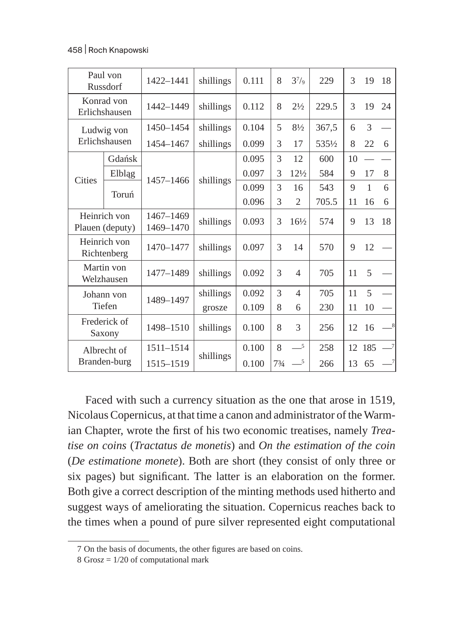## 458 | Roch Knapowski

|                      | Paul von<br>Russdorf            | 1422-1441              | shillings       | 0.111 | 8    | $3^{7}/9$                | 229   | 3  | 19           | 18             |
|----------------------|---------------------------------|------------------------|-----------------|-------|------|--------------------------|-------|----|--------------|----------------|
|                      | Konrad von<br>Erlichshausen     | 1442-1449              | shillings       | 0.112 | 8    | $2\frac{1}{2}$           | 229.5 | 3  | 19           | 24             |
| Ludwig von           |                                 | 1450-1454              | shillings       | 0.104 | 5    | $8\frac{1}{2}$           | 367,5 | 6  | 3            |                |
|                      | Erlichshausen                   | 1454-1467              | shillings       | 0.099 | 3    | 17                       | 535½  | 8  | 22           | 6              |
|                      | Gdańsk                          |                        |                 | 0.095 | 3    | 12                       | 600   | 10 |              |                |
| Cities               | Elbląg                          | 1457-1466              | shillings       | 0.097 | 3    | 12½                      | 584   | 9  | 17           | 8              |
|                      | Toruń                           |                        |                 | 0.099 | 3    | 16                       | 543   | 9  | $\mathbf{1}$ | 6              |
|                      |                                 |                        |                 | 0.096 | 3    | $\overline{2}$           | 705.5 | 11 | 16           | 6              |
|                      | Heinrich von<br>Plauen (deputy) | 1467-1469<br>1469-1470 | shillings       | 0.093 | 3    | 16½                      | 574   | 9  | 13           | 18             |
|                      | Heinrich von<br>Richtenberg     | 1470-1477              | shillings       | 0.097 | 3    | 14                       | 570   | 9  | 12           |                |
|                      | Martin von<br>Welzhausen        | 1477-1489              | shillings       | 0.092 | 3    | $\overline{\mathcal{A}}$ | 705   | 11 | 5            |                |
| Johann von<br>Tiefen |                                 | 1489-1497              | shillings       | 0.092 | 3    | $\overline{\mathcal{A}}$ | 705   | 11 | 5            |                |
|                      |                                 |                        | 0.109<br>grosze | 8     | 6    | 230                      | 11    | 10 |              |                |
|                      | Frederick of<br>Saxony          | 1498-1510              | shillings       | 0.100 | 8    | 3                        | 256   | 12 | 16           | $_{8}$         |
|                      | Albrecht of                     | 1511-1514              |                 | 0.100 | 8    | $-5$                     | 258   | 12 | 185          | $\overline{7}$ |
| Branden-burg         |                                 | 1515-1519              | shillings       | 0.100 | 73/4 | $\_5$                    | 266   | 13 | 65           | -7             |

Faced with such a currency situation as the one that arose in 1519, Nicolaus Copernicus, at that time a canon and administrator of the Warmian Chapter, wrote the first of his two economic treatises, namely *Treatise on coins* (*Tractatus de monetis*) and *On the estimation of the coin* (*De estimatione monete*). Both are short (they consist of only three or six pages) but significant. The latter is an elaboration on the former. Both give a correct description of the minting methods used hitherto and suggest ways of ameliorating the situation. Copernicus reaches back to the times when a pound of pure silver represented eight computational

<sup>7</sup> On the basis of documents, the other figures are based on coins.

<sup>8</sup> Gro*sz* = 1/20 of computational mark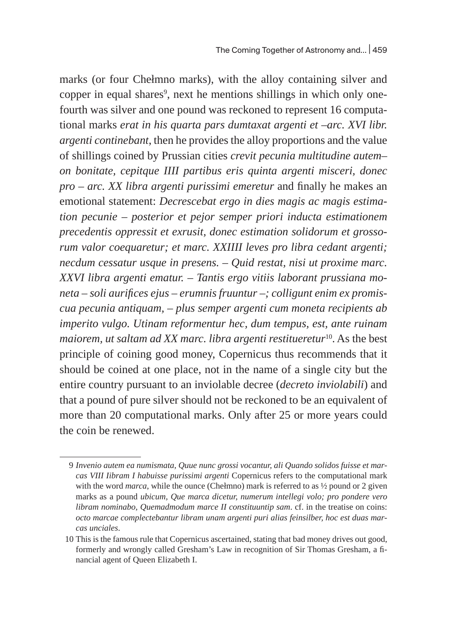marks (or four Chełmno marks), with the alloy containing silver and copper in equal shares<sup>9</sup>, next he mentions shillings in which only onefourth was silver and one pound was reckoned to represent 16 computational marks *erat in his quarta pars dumtaxat argenti et –arc. XVI libr. argenti continebant*, then he provides the alloy proportions and the value of shillings coined by Prussian cities *crevit pecunia multitudine autem– on bonitate, cepitque IIII partibus eris quinta argenti misceri, donec pro – arc. XX libra argenti purissimi emeretur* and finally he makes an emotional statement: *Decrescebat ergo in dies magis ac magis estimation pecunie – posterior et pejor semper priori inducta estimationem precedentis oppressit et exrusit, donec estimation solidorum et grossorum valor coequaretur; et marc. XXIIII leves pro libra cedant argenti; necdum cessatur usque in presens. – Quid restat, nisi ut proxime marc. XXVI libra argenti ematur. – Tantis ergo vitiis laborant prussiana moneta – soli aurifices ejus – erumnis fruuntur –; colligunt enim ex promiscua pecunia antiquam, – plus semper argenti cum moneta recipients ab imperito vulgo. Utinam reformentur hec, dum tempus, est, ante ruinam*  maiorem, ut saltam ad XX marc. libra argenti restitueretur<sup>10</sup>. As the best principle of coining good money, Copernicus thus recommends that it should be coined at one place, not in the name of a single city but the entire country pursuant to an inviolable decree (*decreto inviolabili*) and that a pound of pure silver should not be reckoned to be an equivalent of more than 20 computational marks. Only after 25 or more years could the coin be renewed.

<sup>9</sup> *Invenio autem ea numismata, Quue nunc grossi vocantur, ali Quando solidos fuisse et marcas VIII Iibram I habuisse purissimi argenti* Copernicus refers to the computational mark with the word *marca*, while the ounce (Chełmno) mark is referred to as ½ pound or 2 given marks as a pound *ubicum, Que marca dicetur, numerum intellegi volo; pro pondere vero libram nominabo, Quemadmodum marce II constituuntip sam*. cf. in the treatise on coins: *octo marcae complectebantur libram unam argenti puri alias feinsilber, hoc est duas marcas unciales*.

<sup>10</sup> This is the famous rule that Copernicus ascertained, stating that bad money drives out good, formerly and wrongly called Gresham's Law in recognition of Sir Thomas Gresham, a financial agent of Queen Elizabeth I.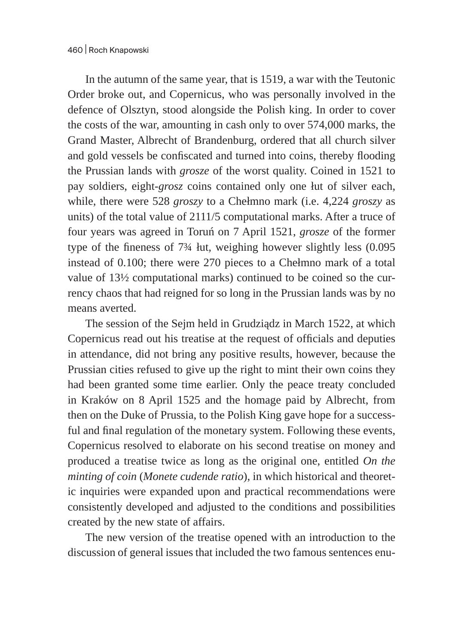In the autumn of the same year, that is 1519, a war with the Teutonic Order broke out, and Copernicus, who was personally involved in the defence of Olsztyn, stood alongside the Polish king. In order to cover the costs of the war, amounting in cash only to over 574,000 marks, the Grand Master, Albrecht of Brandenburg, ordered that all church silver and gold vessels be confiscated and turned into coins, thereby flooding the Prussian lands with *grosze* of the worst quality. Coined in 1521 to pay soldiers, eight-*grosz* coins contained only one łut of silver each, while, there were 528 *groszy* to a Chełmno mark (i.e. 4,224 *groszy* as units) of the total value of 2111/5 computational marks. After a truce of four years was agreed in Toruń on 7 April 1521, *grosze* of the former type of the fineness of 7¾ łut*,* weighing however slightly less (0.095 instead of 0.100; there were 270 pieces to a Chełmno mark of a total value of 13½ computational marks) continued to be coined so the currency chaos that had reigned for so long in the Prussian lands was by no means averted.

The session of the Sejm held in Grudziądz in March 1522, at which Copernicus read out his treatise at the request of officials and deputies in attendance, did not bring any positive results, however, because the Prussian cities refused to give up the right to mint their own coins they had been granted some time earlier. Only the peace treaty concluded in Kraków on 8 April 1525 and the homage paid by Albrecht, from then on the Duke of Prussia, to the Polish King gave hope for a successful and final regulation of the monetary system. Following these events, Copernicus resolved to elaborate on his second treatise on money and produced a treatise twice as long as the original one, entitled *On the minting of coin* (*Monete cudende ratio*), in which historical and theoretic inquiries were expanded upon and practical recommendations were consistently developed and adjusted to the conditions and possibilities created by the new state of affairs.

The new version of the treatise opened with an introduction to the discussion of general issues that included the two famous sentences enu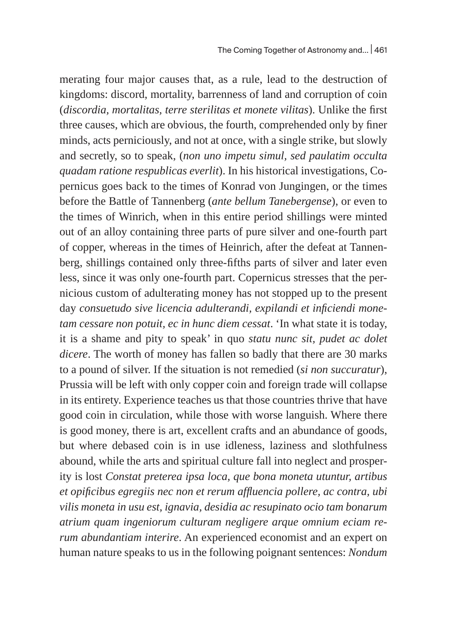merating four major causes that, as a rule, lead to the destruction of kingdoms: discord, mortality, barrenness of land and corruption of coin (*discordia, mortalitas, terre sterilitas et monete vilitas*). Unlike the first three causes, which are obvious, the fourth, comprehended only by finer minds, acts perniciously, and not at once, with a single strike, but slowly and secretly, so to speak, (*non uno impetu simul, sed paulatim occulta quadam ratione respublicas everlit*). In his historical investigations, Copernicus goes back to the times of Konrad von Jungingen, or the times before the Battle of Tannenberg (*ante bellum Tanebergense*), or even to the times of Winrich, when in this entire period shillings were minted out of an alloy containing three parts of pure silver and one-fourth part of copper, whereas in the times of Heinrich, after the defeat at Tannenberg, shillings contained only three-fifths parts of silver and later even less, since it was only one-fourth part. Copernicus stresses that the pernicious custom of adulterating money has not stopped up to the present day *consuetudo sive licencia adulterandi, expilandi et inficiendi monetam cessare non potuit, ec in hunc diem cessat*. 'In what state it is today, it is a shame and pity to speak' in quo *statu nunc sit, pudet ac dolet dicere*. The worth of money has fallen so badly that there are 30 marks to a pound of silver. If the situation is not remedied (*si non succuratur*), Prussia will be left with only copper coin and foreign trade will collapse in its entirety. Experience teaches us that those countries thrive that have good coin in circulation, while those with worse languish. Where there is good money, there is art, excellent crafts and an abundance of goods, but where debased coin is in use idleness, laziness and slothfulness abound, while the arts and spiritual culture fall into neglect and prosperity is lost *Constat preterea ipsa loca, que bona moneta utuntur, artibus et opificibus egregiis nec non et rerum affluencia pollere, ac contra, ubi vilis moneta in usu est, ignavia, desidia ac resupinato ocio tam bonarum atrium quam ingeniorum culturam negligere arque omnium eciam rerum abundantiam interire*. An experienced economist and an expert on human nature speaks to us in the following poignant sentences: *Nondum*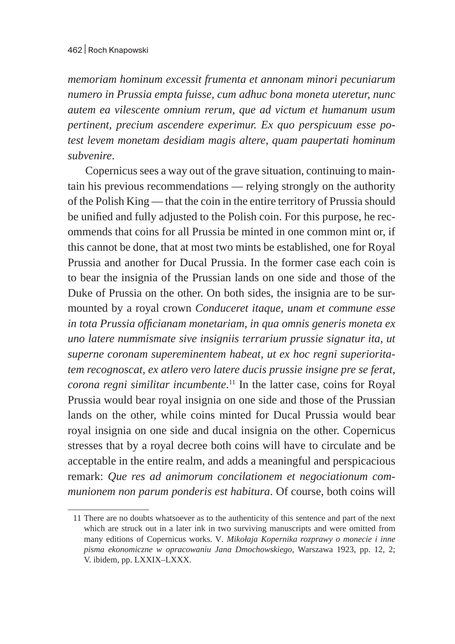*memoriam hominum excessit frumenta et annonam minori pecuniarum numero in Prussia empta fuisse, cum adhuc bona moneta uteretur, nunc autem ea vilescente omnium rerum, que ad victum et humanum usum pertinent, precium ascendere experimur. Ex quo perspicuum esse potest levem monetam desidiam magis altere, quam paupertati hominum subvenire*.

Copernicus sees a way out of the grave situation, continuing to maintain his previous recommendations — relying strongly on the authority of the Polish King — that the coin in the entire territory of Prussia should be unified and fully adjusted to the Polish coin. For this purpose, he recommends that coins for all Prussia be minted in one common mint or, if this cannot be done, that at most two mints be established, one for Royal Prussia and another for Ducal Prussia. In the former case each coin is to bear the insignia of the Prussian lands on one side and those of the Duke of Prussia on the other. On both sides, the insignia are to be surmounted by a royal crown *Conduceret itaque, unam et commune esse in tota Prussia officianam monetariam, in qua omnis generis moneta ex uno latere nummismate sive insigniis terrarium prussie signatur ita, ut superne coronam supereminentem habeat, ut ex hoc regni superioritatem recognoscat, ex atlero vero latere ducis prussie insigne pre se ferat, corona regni similitar incumbente*. 11 In the latter case, coins for Royal Prussia would bear royal insignia on one side and those of the Prussian lands on the other, while coins minted for Ducal Prussia would bear royal insignia on one side and ducal insignia on the other. Copernicus stresses that by a royal decree both coins will have to circulate and be acceptable in the entire realm, and adds a meaningful and perspicacious remark: *Que res ad animorum concilationem et negociationum communionem non parum ponderis est habitura*. Of course, both coins will

<sup>11</sup> There are no doubts whatsoever as to the authenticity of this sentence and part of the next which are struck out in a later ink in two surviving manuscripts and were omitted from many editions of Copernicus works. V*. Mikołaja Kopernika rozprawy o monecie i inne pisma ekonomiczne w opracowaniu Jana Dmochowskiego*, Warszawa 1923, pp. 12, 2; V. ibidem, pp. LXXIX–LXXX.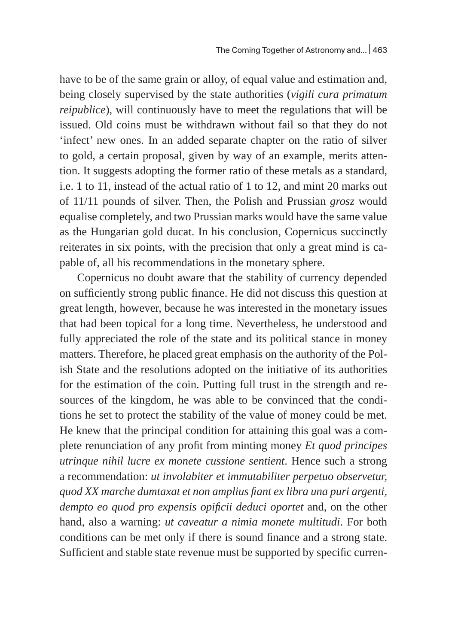have to be of the same grain or alloy, of equal value and estimation and, being closely supervised by the state authorities (*vigili cura primatum reipublice*), will continuously have to meet the regulations that will be issued. Old coins must be withdrawn without fail so that they do not 'infect' new ones. In an added separate chapter on the ratio of silver to gold, a certain proposal, given by way of an example, merits attention. It suggests adopting the former ratio of these metals as a standard, i.e. 1 to 11, instead of the actual ratio of 1 to 12, and mint 20 marks out of 11/11 pounds of silver. Then, the Polish and Prussian *grosz* would equalise completely, and two Prussian marks would have the same value as the Hungarian gold ducat. In his conclusion, Copernicus succinctly reiterates in six points, with the precision that only a great mind is capable of, all his recommendations in the monetary sphere.

Copernicus no doubt aware that the stability of currency depended on sufficiently strong public finance. He did not discuss this question at great length, however, because he was interested in the monetary issues that had been topical for a long time. Nevertheless, he understood and fully appreciated the role of the state and its political stance in money matters. Therefore, he placed great emphasis on the authority of the Polish State and the resolutions adopted on the initiative of its authorities for the estimation of the coin. Putting full trust in the strength and resources of the kingdom, he was able to be convinced that the conditions he set to protect the stability of the value of money could be met. He knew that the principal condition for attaining this goal was a complete renunciation of any profit from minting money *Et quod principes utrinque nihil lucre ex monete cussione sentient*. Hence such a strong a recommendation: *ut involabiter et immutabiliter perpetuo observetur, quod XX marche dumtaxat et non amplius fiant ex libra una puri argenti, dempto eo quod pro expensis opificii deduci oportet* and, on the other hand, also a warning: *ut caveatur a nimia monete multitudi*. For both conditions can be met only if there is sound finance and a strong state. Sufficient and stable state revenue must be supported by specific curren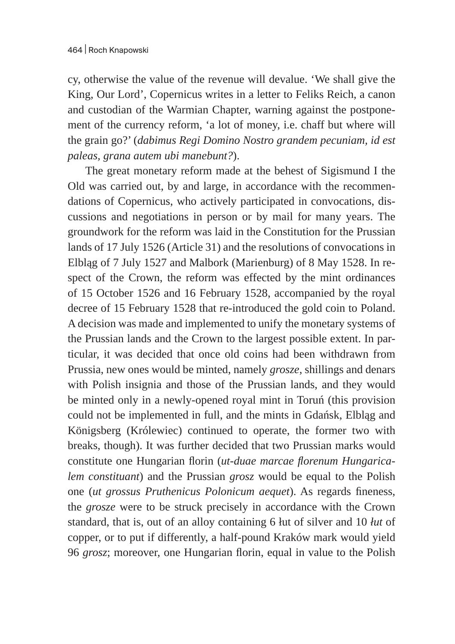cy, otherwise the value of the revenue will devalue. 'We shall give the King, Our Lord', Copernicus writes in a letter to Feliks Reich, a canon and custodian of the Warmian Chapter, warning against the postponement of the currency reform, 'a lot of money, i.e. chaff but where will the grain go?' (*dabimus Regi Domino Nostro grandem pecuniam, id est paleas, grana autem ubi manebunt?*).

The great monetary reform made at the behest of Sigismund I the Old was carried out, by and large, in accordance with the recommendations of Copernicus, who actively participated in convocations, discussions and negotiations in person or by mail for many years. The groundwork for the reform was laid in the Constitution for the Prussian lands of 17 July 1526 (Article 31) and the resolutions of convocations in Elbląg of 7 July 1527 and Malbork (Marienburg) of 8 May 1528. In respect of the Crown, the reform was effected by the mint ordinances of 15 October 1526 and 16 February 1528, accompanied by the royal decree of 15 February 1528 that re-introduced the gold coin to Poland. A decision was made and implemented to unify the monetary systems of the Prussian lands and the Crown to the largest possible extent. In particular, it was decided that once old coins had been withdrawn from Prussia, new ones would be minted, namely *grosze*, shillings and denars with Polish insignia and those of the Prussian lands, and they would be minted only in a newly-opened royal mint in Toruń (this provision could not be implemented in full, and the mints in Gdańsk, Elbląg and Königsberg (Królewiec) continued to operate, the former two with breaks, though). It was further decided that two Prussian marks would constitute one Hungarian florin (*ut-duae marcae florenum Hungaricalem constituant*) and the Prussian *grosz* would be equal to the Polish one (*ut grossus Pruthenicus Polonicum aequet*). As regards fineness, the *grosze* were to be struck precisely in accordance with the Crown standard, that is, out of an alloy containing 6 łut of silver and 10 *łut* of copper, or to put if differently, a half-pound Kraków mark would yield 96 *grosz*; moreover, one Hungarian florin, equal in value to the Polish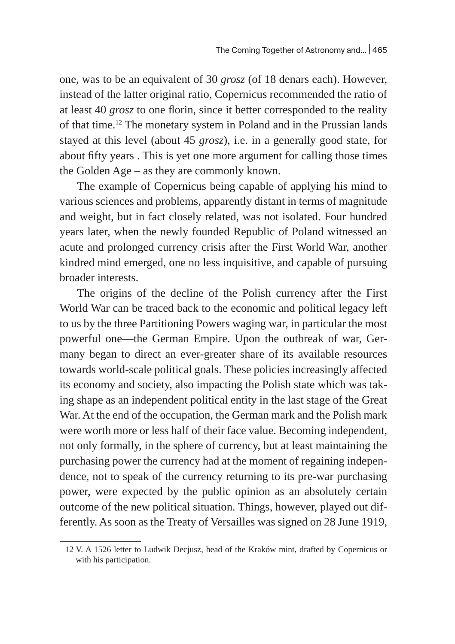one, was to be an equivalent of 30 *grosz* (of 18 denars each). However, instead of the latter original ratio, Copernicus recommended the ratio of at least 40 *grosz* to one florin, since it better corresponded to the reality of that time.12 The monetary system in Poland and in the Prussian lands stayed at this level (about 45 *grosz*), i.e. in a generally good state, for about fifty years . This is yet one more argument for calling those times the Golden Age – as they are commonly known.

The example of Copernicus being capable of applying his mind to various sciences and problems, apparently distant in terms of magnitude and weight, but in fact closely related, was not isolated. Four hundred years later, when the newly founded Republic of Poland witnessed an acute and prolonged currency crisis after the First World War, another kindred mind emerged, one no less inquisitive, and capable of pursuing broader interests.

The origins of the decline of the Polish currency after the First World War can be traced back to the economic and political legacy left to us by the three Partitioning Powers waging war, in particular the most powerful one—the German Empire. Upon the outbreak of war, Germany began to direct an ever-greater share of its available resources towards world-scale political goals. These policies increasingly affected its economy and society, also impacting the Polish state which was taking shape as an independent political entity in the last stage of the Great War. At the end of the occupation, the German mark and the Polish mark were worth more or less half of their face value. Becoming independent, not only formally, in the sphere of currency, but at least maintaining the purchasing power the currency had at the moment of regaining independence, not to speak of the currency returning to its pre-war purchasing power, were expected by the public opinion as an absolutely certain outcome of the new political situation. Things, however, played out differently. As soon as the Treaty of Versailles was signed on 28 June 1919,

<sup>12</sup> V. A 1526 letter to Ludwik Decjusz, head of the Kraków mint, drafted by Copernicus or with his participation.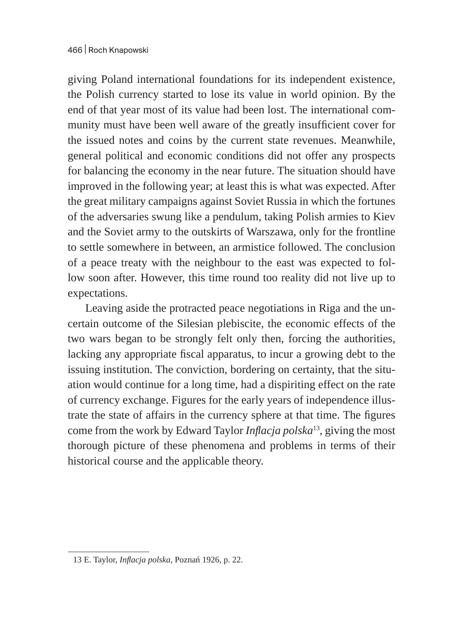giving Poland international foundations for its independent existence, the Polish currency started to lose its value in world opinion. By the end of that year most of its value had been lost. The international community must have been well aware of the greatly insufficient cover for the issued notes and coins by the current state revenues. Meanwhile, general political and economic conditions did not offer any prospects for balancing the economy in the near future. The situation should have improved in the following year; at least this is what was expected. After the great military campaigns against Soviet Russia in which the fortunes of the adversaries swung like a pendulum, taking Polish armies to Kiev and the Soviet army to the outskirts of Warszawa, only for the frontline to settle somewhere in between, an armistice followed. The conclusion of a peace treaty with the neighbour to the east was expected to follow soon after. However, this time round too reality did not live up to expectations.

Leaving aside the protracted peace negotiations in Riga and the uncertain outcome of the Silesian plebiscite, the economic effects of the two wars began to be strongly felt only then, forcing the authorities, lacking any appropriate fiscal apparatus, to incur a growing debt to the issuing institution. The conviction, bordering on certainty, that the situation would continue for a long time, had a dispiriting effect on the rate of currency exchange. Figures for the early years of independence illustrate the state of affairs in the currency sphere at that time. The figures come from the work by Edward Taylor *Inflacja polska*13, giving the most thorough picture of these phenomena and problems in terms of their historical course and the applicable theory.

<sup>13</sup> E. Taylor, *Inflacja polska*, Poznań 1926, p. 22.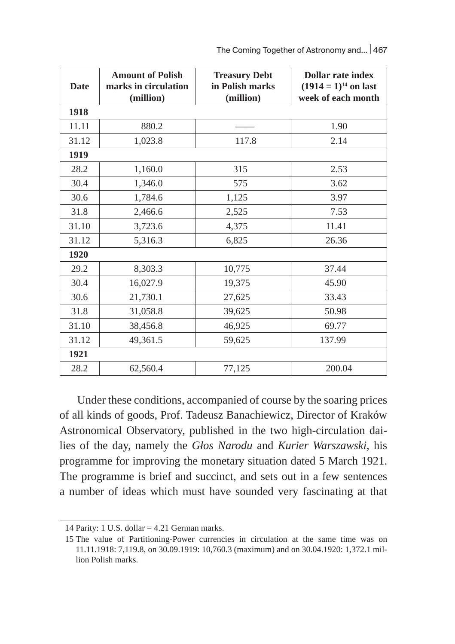| The Coming Together of Astronomy and   467 |  |
|--------------------------------------------|--|
|--------------------------------------------|--|

| <b>Date</b> | <b>Amount of Polish</b><br>marks in circulation<br>(million) | <b>Treasury Debt</b><br>in Polish marks<br>(million) | <b>Dollar rate index</b><br>$(1914 = 1)^{14}$ on last<br>week of each month |  |  |  |  |
|-------------|--------------------------------------------------------------|------------------------------------------------------|-----------------------------------------------------------------------------|--|--|--|--|
| 1918        |                                                              |                                                      |                                                                             |  |  |  |  |
| 11.11       | 880.2                                                        |                                                      | 1.90                                                                        |  |  |  |  |
| 31.12       | 1,023.8                                                      | 117.8                                                | 2.14                                                                        |  |  |  |  |
| 1919        |                                                              |                                                      |                                                                             |  |  |  |  |
| 28.2        | 1,160.0                                                      | 315                                                  | 2.53                                                                        |  |  |  |  |
| 30.4        | 1,346.0                                                      | 575                                                  | 3.62                                                                        |  |  |  |  |
| 30.6        | 1,784.6                                                      | 1,125                                                | 3.97                                                                        |  |  |  |  |
| 31.8        | 2,466.6                                                      | 2,525                                                | 7.53                                                                        |  |  |  |  |
| 31.10       | 3,723.6                                                      | 4,375                                                | 11.41                                                                       |  |  |  |  |
| 31.12       | 5,316.3                                                      | 6,825                                                | 26.36                                                                       |  |  |  |  |
| 1920        |                                                              |                                                      |                                                                             |  |  |  |  |
| 29.2        | 8,303.3                                                      | 10,775                                               | 37.44                                                                       |  |  |  |  |
| 30.4        | 16,027.9                                                     | 19,375                                               | 45.90                                                                       |  |  |  |  |
| 30.6        | 21,730.1                                                     | 27,625                                               | 33.43                                                                       |  |  |  |  |
| 31.8        | 31,058.8                                                     | 39,625                                               | 50.98                                                                       |  |  |  |  |
| 31.10       | 38,456.8                                                     | 46,925                                               | 69.77                                                                       |  |  |  |  |
| 31.12       | 49,361.5                                                     | 59,625                                               | 137.99                                                                      |  |  |  |  |
| 1921        |                                                              |                                                      |                                                                             |  |  |  |  |
| 28.2        | 62,560.4                                                     | 77,125                                               | 200.04                                                                      |  |  |  |  |

Under these conditions, accompanied of course by the soaring prices of all kinds of goods, Prof. Tadeusz Banachiewicz, Director of Kraków Astronomical Observatory, published in the two high-circulation dailies of the day, namely the *Głos Narodu* and *Kurier Warszawski*, his programme for improving the monetary situation dated 5 March 1921. The programme is brief and succinct, and sets out in a few sentences a number of ideas which must have sounded very fascinating at that

<sup>14</sup> Parity: 1 U.S. dollar = 4.21 German marks.

<sup>15</sup> The value of Partitioning-Power currencies in circulation at the same time was on 11.11.1918: 7,119.8, on 30.09.1919: 10,760.3 (maximum) and on 30.04.1920: 1,372.1 million Polish marks.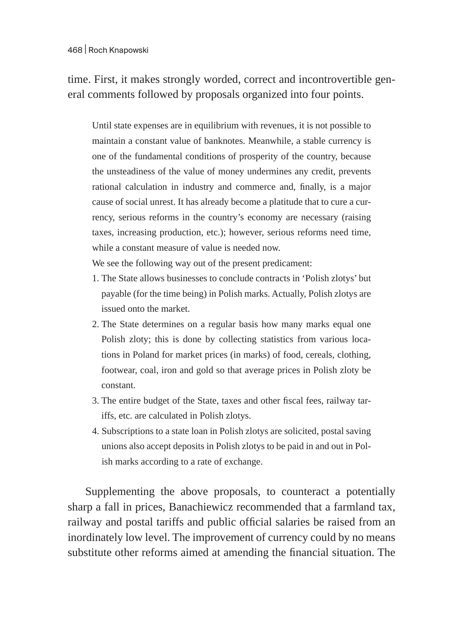time. First, it makes strongly worded, correct and incontrovertible general comments followed by proposals organized into four points.

Until state expenses are in equilibrium with revenues, it is not possible to maintain a constant value of banknotes. Meanwhile, a stable currency is one of the fundamental conditions of prosperity of the country, because the unsteadiness of the value of money undermines any credit, prevents rational calculation in industry and commerce and, finally, is a major cause of social unrest. It has already become a platitude that to cure a currency, serious reforms in the country's economy are necessary (raising taxes, increasing production, etc.); however, serious reforms need time, while a constant measure of value is needed now.

We see the following way out of the present predicament:

- 1. The State allows businesses to conclude contracts in 'Polish zlotys' but payable (for the time being) in Polish marks. Actually, Polish zlotys are issued onto the market.
- 2. The State determines on a regular basis how many marks equal one Polish zloty; this is done by collecting statistics from various locations in Poland for market prices (in marks) of food, cereals, clothing, footwear, coal, iron and gold so that average prices in Polish zloty be constant.
- 3. The entire budget of the State, taxes and other fiscal fees, railway tariffs, etc. are calculated in Polish zlotys.
- 4. Subscriptions to a state loan in Polish zlotys are solicited, postal saving unions also accept deposits in Polish zlotys to be paid in and out in Polish marks according to a rate of exchange.

Supplementing the above proposals, to counteract a potentially sharp a fall in prices, Banachiewicz recommended that a farmland tax, railway and postal tariffs and public official salaries be raised from an inordinately low level. The improvement of currency could by no means substitute other reforms aimed at amending the financial situation. The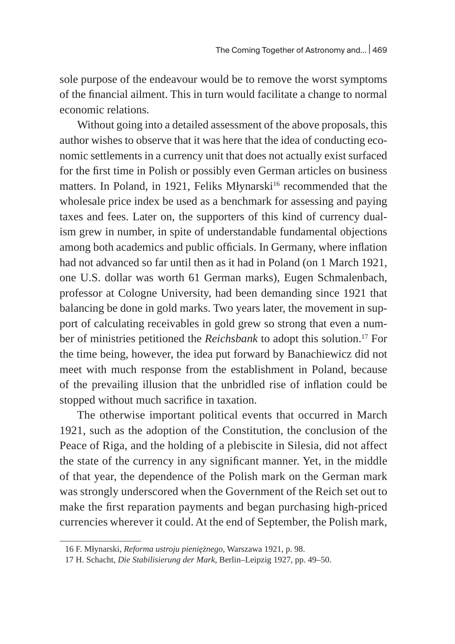sole purpose of the endeavour would be to remove the worst symptoms of the financial ailment. This in turn would facilitate a change to normal economic relations.

Without going into a detailed assessment of the above proposals, this author wishes to observe that it was here that the idea of conducting economic settlements in a currency unit that does not actually exist surfaced for the first time in Polish or possibly even German articles on business matters. In Poland, in 1921, Feliks Młynarski<sup>16</sup> recommended that the wholesale price index be used as a benchmark for assessing and paying taxes and fees. Later on, the supporters of this kind of currency dualism grew in number, in spite of understandable fundamental objections among both academics and public officials. In Germany, where inflation had not advanced so far until then as it had in Poland (on 1 March 1921, one U.S. dollar was worth 61 German marks), Eugen Schmalenbach, professor at Cologne University, had been demanding since 1921 that balancing be done in gold marks. Two years later, the movement in support of calculating receivables in gold grew so strong that even a number of ministries petitioned the *Reichsbank* to adopt this solution.<sup>17</sup> For the time being, however, the idea put forward by Banachiewicz did not meet with much response from the establishment in Poland, because of the prevailing illusion that the unbridled rise of inflation could be stopped without much sacrifice in taxation.

The otherwise important political events that occurred in March 1921, such as the adoption of the Constitution, the conclusion of the Peace of Riga, and the holding of a plebiscite in Silesia, did not affect the state of the currency in any significant manner. Yet, in the middle of that year, the dependence of the Polish mark on the German mark was strongly underscored when the Government of the Reich set out to make the first reparation payments and began purchasing high-priced currencies wherever it could. At the end of September, the Polish mark,

<sup>16</sup> F. Młynarski, *Reforma ustroju pieniężnego*, Warszawa 1921, p. 98.

<sup>17</sup> H. Schacht, *Die Stabilisierung der Mark*, Berlin–Leipzig 1927, pp. 49–50.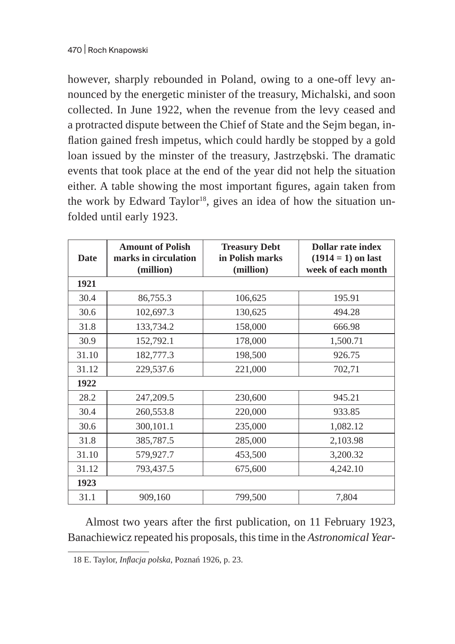however, sharply rebounded in Poland, owing to a one-off levy announced by the energetic minister of the treasury, Michalski, and soon collected. In June 1922, when the revenue from the levy ceased and a protracted dispute between the Chief of State and the Sejm began, inflation gained fresh impetus, which could hardly be stopped by a gold loan issued by the minster of the treasury, Jastrzębski. The dramatic events that took place at the end of the year did not help the situation either. A table showing the most important figures, again taken from the work by Edward Taylor<sup>18</sup>, gives an idea of how the situation unfolded until early 1923.

| <b>Date</b> | <b>Amount of Polish</b><br>marks in circulation<br>(million) | <b>Treasury Debt</b><br>in Polish marks<br>(million) | <b>Dollar rate index</b><br>$(1914 = 1)$ on last<br>week of each month |
|-------------|--------------------------------------------------------------|------------------------------------------------------|------------------------------------------------------------------------|
| 1921        |                                                              |                                                      |                                                                        |
| 30.4        | 86,755.3                                                     | 106,625                                              | 195.91                                                                 |
| 30.6        | 102,697.3                                                    | 130,625                                              | 494.28                                                                 |
| 31.8        | 133,734.2                                                    | 158,000                                              | 666.98                                                                 |
| 30.9        | 152,792.1                                                    | 178,000                                              | 1,500.71                                                               |
| 31.10       | 182,777.3                                                    | 198,500                                              | 926.75                                                                 |
| 31.12       | 229,537.6                                                    | 221,000                                              | 702,71                                                                 |
| 1922        |                                                              |                                                      |                                                                        |
| 28.2        | 247,209.5                                                    | 230,600                                              | 945.21                                                                 |
| 30.4        | 260,553.8                                                    | 220,000                                              | 933.85                                                                 |
| 30.6        | 300,101.1                                                    | 235,000                                              | 1,082.12                                                               |
| 31.8        | 385,787.5                                                    | 285,000                                              | 2,103.98                                                               |
| 31.10       | 579,927.7                                                    | 453,500                                              | 3,200.32                                                               |
| 31.12       | 793,437.5                                                    | 675,600                                              | 4,242.10                                                               |
| 1923        |                                                              |                                                      |                                                                        |
| 31.1        | 909,160                                                      | 799,500                                              | 7,804                                                                  |

Almost two years after the first publication, on 11 February 1923, Banachiewicz repeated his proposals, this time in the *Astronomical Year-*

<sup>18</sup> E. Taylor, *Inflacja polska*, Poznań 1926, p. 23.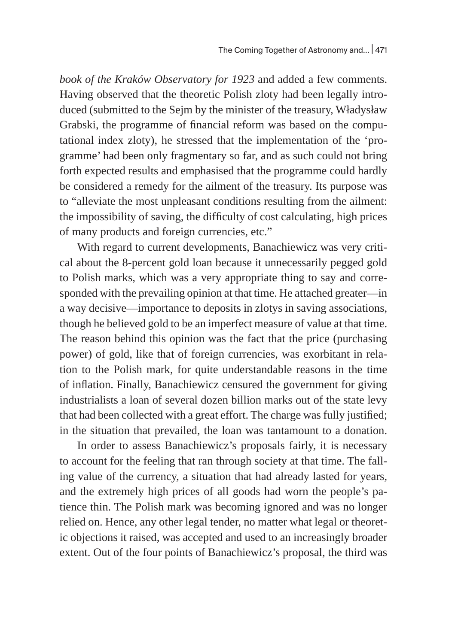*book of the Kraków Observatory for 1923* and added a few comments. Having observed that the theoretic Polish zloty had been legally introduced (submitted to the Sejm by the minister of the treasury, Władysław Grabski, the programme of financial reform was based on the computational index zloty), he stressed that the implementation of the 'programme' had been only fragmentary so far, and as such could not bring forth expected results and emphasised that the programme could hardly be considered a remedy for the ailment of the treasury. Its purpose was to "alleviate the most unpleasant conditions resulting from the ailment: the impossibility of saving, the difficulty of cost calculating, high prices of many products and foreign currencies, etc."

With regard to current developments, Banachiewicz was very critical about the 8-percent gold loan because it unnecessarily pegged gold to Polish marks, which was a very appropriate thing to say and corresponded with the prevailing opinion at that time. He attached greater—in a way decisive—importance to deposits in zlotys in saving associations, though he believed gold to be an imperfect measure of value at that time. The reason behind this opinion was the fact that the price (purchasing power) of gold, like that of foreign currencies, was exorbitant in relation to the Polish mark, for quite understandable reasons in the time of inflation. Finally, Banachiewicz censured the government for giving industrialists a loan of several dozen billion marks out of the state levy that had been collected with a great effort. The charge was fully justified; in the situation that prevailed, the loan was tantamount to a donation.

In order to assess Banachiewicz's proposals fairly, it is necessary to account for the feeling that ran through society at that time. The falling value of the currency, a situation that had already lasted for years, and the extremely high prices of all goods had worn the people's patience thin. The Polish mark was becoming ignored and was no longer relied on. Hence, any other legal tender, no matter what legal or theoretic objections it raised, was accepted and used to an increasingly broader extent. Out of the four points of Banachiewicz's proposal, the third was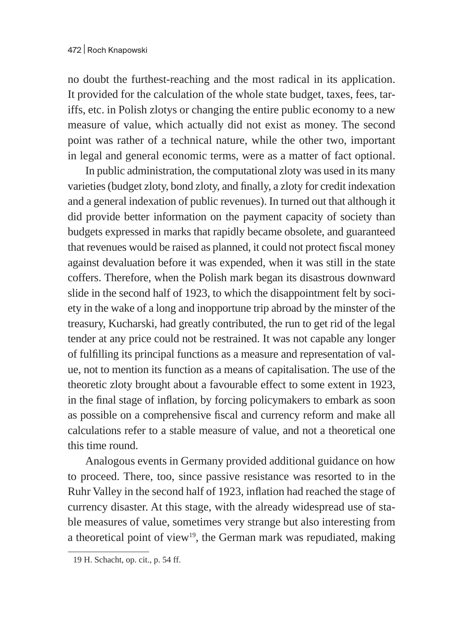no doubt the furthest-reaching and the most radical in its application. It provided for the calculation of the whole state budget, taxes, fees, tariffs, etc. in Polish zlotys or changing the entire public economy to a new measure of value, which actually did not exist as money. The second point was rather of a technical nature, while the other two, important in legal and general economic terms, were as a matter of fact optional.

In public administration, the computational zloty was used in its many varieties (budget zloty, bond zloty, and finally, a zloty for credit indexation and a general indexation of public revenues). In turned out that although it did provide better information on the payment capacity of society than budgets expressed in marks that rapidly became obsolete, and guaranteed that revenues would be raised as planned, it could not protect fiscal money against devaluation before it was expended, when it was still in the state coffers. Therefore, when the Polish mark began its disastrous downward slide in the second half of 1923, to which the disappointment felt by society in the wake of a long and inopportune trip abroad by the minster of the treasury, Kucharski, had greatly contributed, the run to get rid of the legal tender at any price could not be restrained. It was not capable any longer of fulfilling its principal functions as a measure and representation of value, not to mention its function as a means of capitalisation. The use of the theoretic zloty brought about a favourable effect to some extent in 1923, in the final stage of inflation, by forcing policymakers to embark as soon as possible on a comprehensive fiscal and currency reform and make all calculations refer to a stable measure of value, and not a theoretical one this time round.

Analogous events in Germany provided additional guidance on how to proceed. There, too, since passive resistance was resorted to in the Ruhr Valley in the second half of 1923, inflation had reached the stage of currency disaster. At this stage, with the already widespread use of stable measures of value, sometimes very strange but also interesting from a theoretical point of view<sup>19</sup>, the German mark was repudiated, making

<sup>19</sup> H. Schacht, op. cit., p. 54 ff.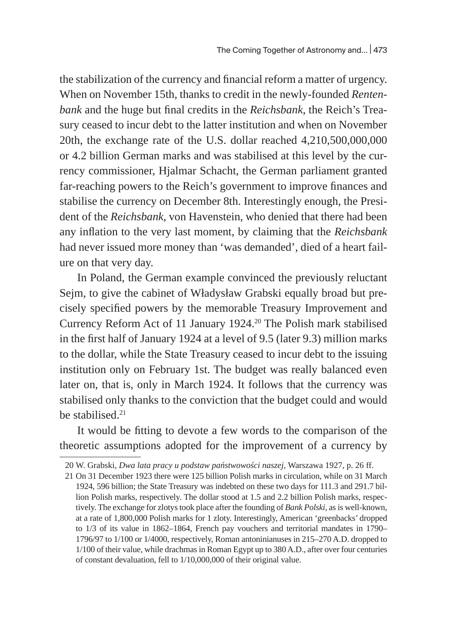the stabilization of the currency and financial reform a matter of urgency. When on November 15th, thanks to credit in the newly-founded *Rentenbank* and the huge but final credits in the *Reichsbank*, the Reich's Treasury ceased to incur debt to the latter institution and when on November 20th, the exchange rate of the U.S. dollar reached 4,210,500,000,000 or 4.2 billion German marks and was stabilised at this level by the currency commissioner, Hjalmar Schacht, the German parliament granted far-reaching powers to the Reich's government to improve finances and stabilise the currency on December 8th. Interestingly enough, the President of the *Reichsbank*, von Havenstein, who denied that there had been any inflation to the very last moment, by claiming that the *Reichsbank* had never issued more money than 'was demanded', died of a heart failure on that very day.

In Poland, the German example convinced the previously reluctant Sejm, to give the cabinet of Władysław Grabski equally broad but precisely specified powers by the memorable Treasury Improvement and Currency Reform Act of 11 January 1924.<sup>20</sup> The Polish mark stabilised in the first half of January 1924 at a level of 9.5 (later 9.3) million marks to the dollar, while the State Treasury ceased to incur debt to the issuing institution only on February 1st. The budget was really balanced even later on, that is, only in March 1924. It follows that the currency was stabilised only thanks to the conviction that the budget could and would be stabilised. $21$ 

It would be fitting to devote a few words to the comparison of the theoretic assumptions adopted for the improvement of a currency by

<sup>20</sup> W. Grabski, *Dwa lata pracy u podstaw państwowości naszej*, Warszawa 1927, p. 26 ff.

<sup>21</sup> On 31 December 1923 there were 125 billion Polish marks in circulation, while on 31 March 1924, 596 billion; the State Treasury was indebted on these two days for 111.3 and 291.7 billion Polish marks, respectively. The dollar stood at 1.5 and 2.2 billion Polish marks, respectively. The exchange for zlotys took place after the founding of *Bank Polski*, as is well-known, at a rate of 1,800,000 Polish marks for 1 zloty. Interestingly, American 'greenbacks' dropped to 1/3 of its value in 1862–1864, French pay vouchers and territorial mandates in 1790– 1796/97 to 1/100 or 1/4000, respectively, Roman antoninianuses in 215–270 A.D. dropped to 1/100 of their value, while drachmas in Roman Egypt up to 380 A.D., after over four centuries of constant devaluation, fell to 1/10,000,000 of their original value.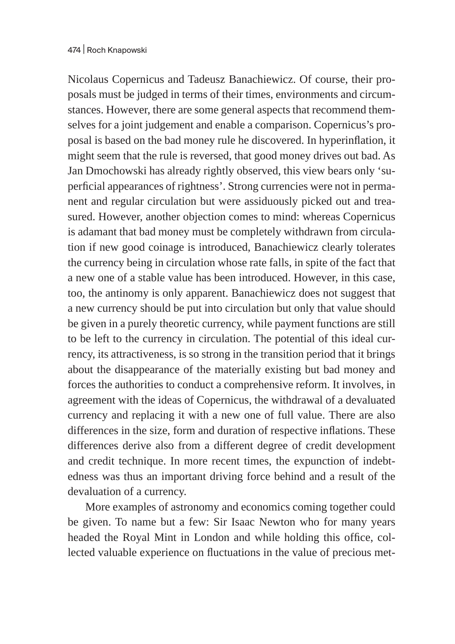Nicolaus Copernicus and Tadeusz Banachiewicz. Of course, their proposals must be judged in terms of their times, environments and circumstances. However, there are some general aspects that recommend themselves for a joint judgement and enable a comparison. Copernicus's proposal is based on the bad money rule he discovered. In hyperinflation, it might seem that the rule is reversed, that good money drives out bad. As Jan Dmochowski has already rightly observed, this view bears only 'superficial appearances of rightness'. Strong currencies were not in permanent and regular circulation but were assiduously picked out and treasured. However, another objection comes to mind: whereas Copernicus is adamant that bad money must be completely withdrawn from circulation if new good coinage is introduced, Banachiewicz clearly tolerates the currency being in circulation whose rate falls, in spite of the fact that a new one of a stable value has been introduced. However, in this case, too, the antinomy is only apparent. Banachiewicz does not suggest that a new currency should be put into circulation but only that value should be given in a purely theoretic currency, while payment functions are still to be left to the currency in circulation. The potential of this ideal currency, its attractiveness, is so strong in the transition period that it brings about the disappearance of the materially existing but bad money and forces the authorities to conduct a comprehensive reform. It involves, in agreement with the ideas of Copernicus, the withdrawal of a devaluated currency and replacing it with a new one of full value. There are also differences in the size, form and duration of respective inflations. These differences derive also from a different degree of credit development and credit technique. In more recent times, the expunction of indebtedness was thus an important driving force behind and a result of the devaluation of a currency.

More examples of astronomy and economics coming together could be given. To name but a few: Sir Isaac Newton who for many years headed the Royal Mint in London and while holding this office, collected valuable experience on fluctuations in the value of precious met-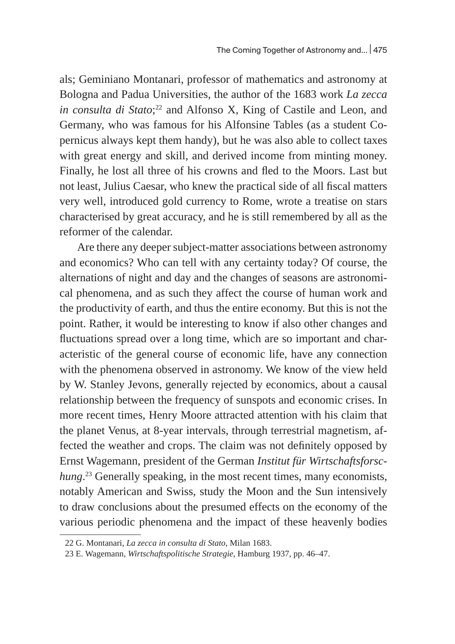als; Geminiano Montanari, professor of mathematics and astronomy at Bologna and Padua Universities, the author of the 1683 work *La zecca in consulta di Stato*; <sup>22</sup> and Alfonso X, King of Castile and Leon, and Germany, who was famous for his Alfonsine Tables (as a student Copernicus always kept them handy), but he was also able to collect taxes with great energy and skill, and derived income from minting money. Finally, he lost all three of his crowns and fled to the Moors. Last but not least, Julius Caesar, who knew the practical side of all fiscal matters very well, introduced gold currency to Rome, wrote a treatise on stars characterised by great accuracy, and he is still remembered by all as the reformer of the calendar.

Are there any deeper subject-matter associations between astronomy and economics? Who can tell with any certainty today? Of course, the alternations of night and day and the changes of seasons are astronomical phenomena, and as such they affect the course of human work and the productivity of earth, and thus the entire economy. But this is not the point. Rather, it would be interesting to know if also other changes and fluctuations spread over a long time, which are so important and characteristic of the general course of economic life, have any connection with the phenomena observed in astronomy. We know of the view held by W. Stanley Jevons, generally rejected by economics, about a causal relationship between the frequency of sunspots and economic crises. In more recent times, Henry Moore attracted attention with his claim that the planet Venus, at 8-year intervals, through terrestrial magnetism, affected the weather and crops. The claim was not definitely opposed by Ernst Wagemann, president of the German *Institut für Wirtschaftsforschung*. <sup>23</sup> Generally speaking, in the most recent times, many economists, notably American and Swiss, study the Moon and the Sun intensively to draw conclusions about the presumed effects on the economy of the various periodic phenomena and the impact of these heavenly bodies

<sup>22</sup> G. Montanari, *La zecca in consulta di Stato*, Milan 1683.

<sup>23</sup> E. Wagemann, *Wirtschaftspolitische Strategie*, Hamburg 1937, pp. 46–47.